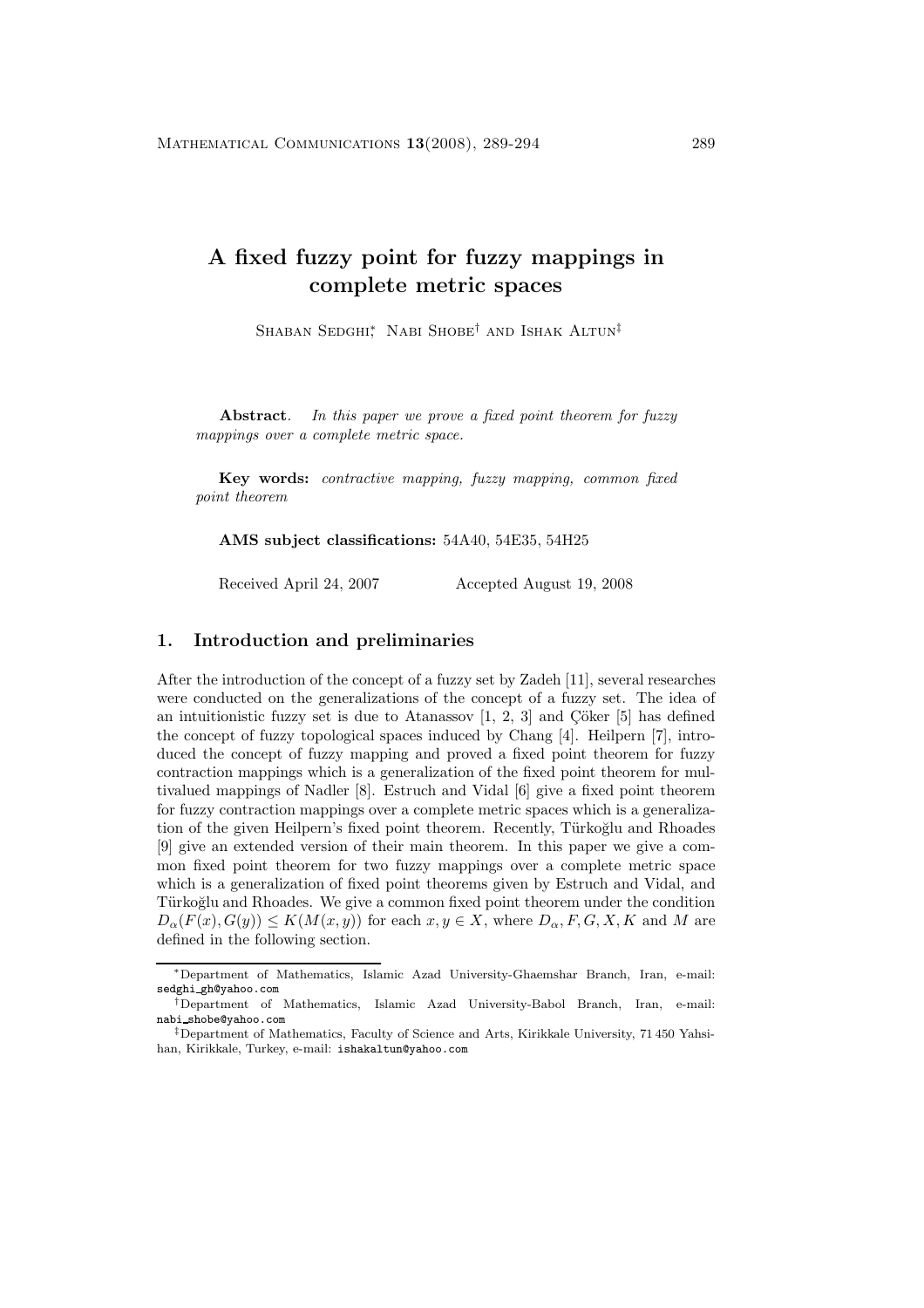# **A fixed fuzzy point for fuzzy mappings in complete metric spaces**

Shaban Sedghi<sup>∗</sup> Nabi Shobe<sup>†</sup> and Ishak Altun<sup>‡</sup>

**Abstract***. In this paper we prove a fixed point theorem for fuzzy mappings over a complete metric space.*

**Key words:** *contractive mapping, fuzzy mapping, common fixed point theorem*

**AMS subject classifications:** 54A40, 54E35, 54H25

Received April 24, 2007 Accepted August 19, 2008

#### **1. Introduction and preliminaries**

After the introduction of the concept of a fuzzy set by Zadeh [11], several researches were conducted on the generalizations of the concept of a fuzzy set. The idea of an intuitionistic fuzzy set is due to Atanassov  $[1, 2, 3]$  and  $\ddot{C}$  oker  $[5]$  has defined the concept of fuzzy topological spaces induced by Chang [4]. Heilpern [7], introduced the concept of fuzzy mapping and proved a fixed point theorem for fuzzy contraction mappings which is a generalization of the fixed point theorem for multivalued mappings of Nadler [8]. Estruch and Vidal [6] give a fixed point theorem for fuzzy contraction mappings over a complete metric spaces which is a generalization of the given Heilpern's fixed point theorem. Recently, Türkoğlu and Rhoades [9] give an extended version of their main theorem. In this paper we give a common fixed point theorem for two fuzzy mappings over a complete metric space which is a generalization of fixed point theorems given by Estruch and Vidal, and Türkoğlu and Rhoades. We give a common fixed point theorem under the condition  $D_{\alpha}(F(x), G(y)) \leq K(M(x, y))$  for each  $x, y \in X$ , where  $D_{\alpha}, F, G, X, K$  and M are defined in the following section.

<sup>∗</sup>Department of Mathematics, Islamic Azad University-Ghaemshar Branch, Iran, e-mail: sedghi gh@yahoo.com

<sup>†</sup>Department of Mathematics, Islamic Azad University-Babol Branch, Iran, e-mail: nabi shobe@yahoo.com

<sup>‡</sup>Department of Mathematics, Faculty of Science and Arts, Kirikkale University, 71 450 Yahsihan, Kirikkale, Turkey, e-mail: ishakaltun@yahoo.com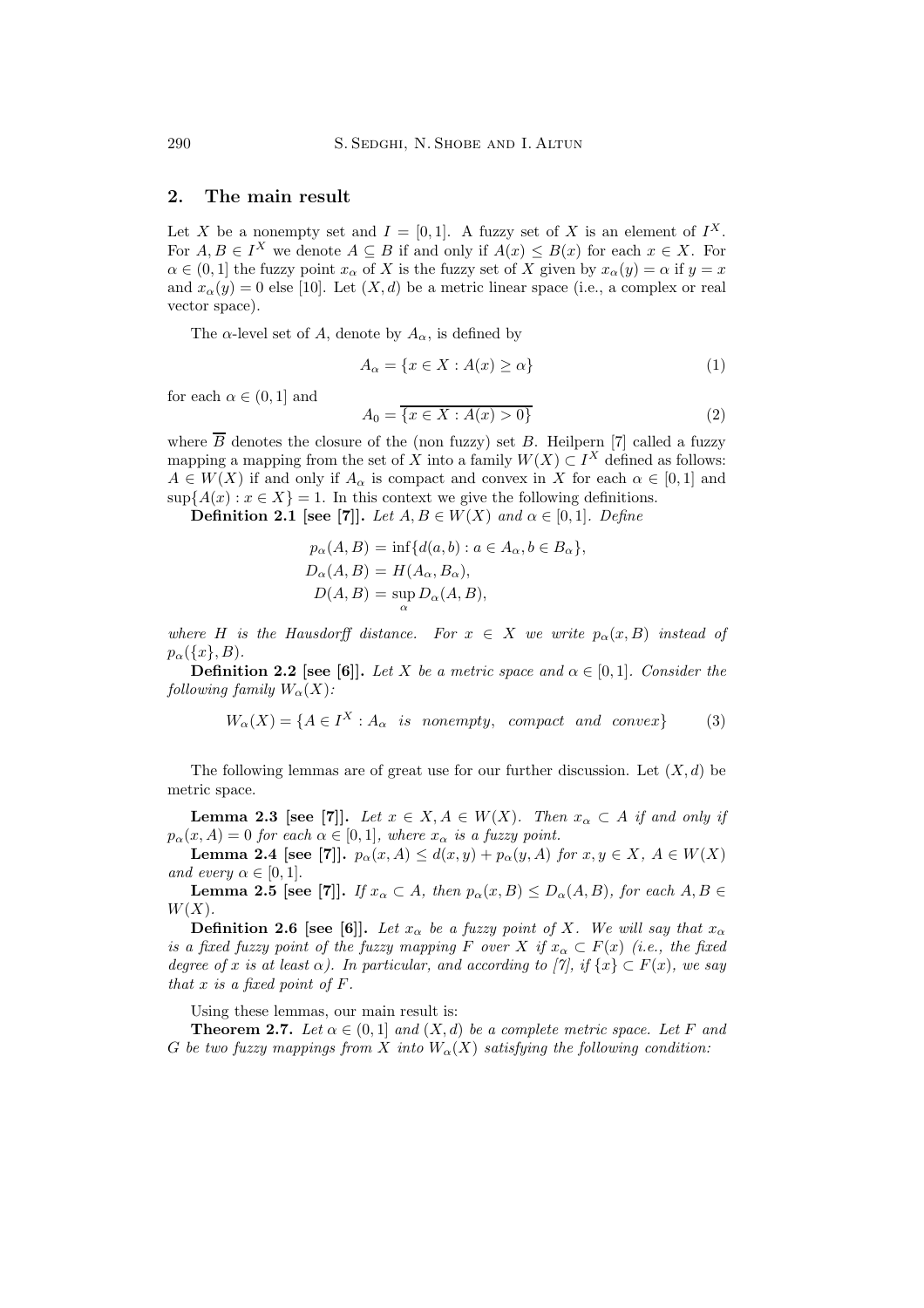### **2. The main result**

Let X be a nonempty set and  $I = [0, 1]$ . A fuzzy set of X is an element of  $I^X$ . For  $A, B \in I^X$  we denote  $A \subseteq B$  if and only if  $A(x) \leq B(x)$  for each  $x \in X$ . For  $\alpha \in (0,1]$  the fuzzy point  $x_{\alpha}$  of X is the fuzzy set of X given by  $x_{\alpha}(y) = \alpha$  if  $y = x$ and  $x_{\alpha}(y) = 0$  else [10]. Let  $(X, d)$  be a metric linear space (i.e., a complex or real vector space).

The  $\alpha$ -level set of A, denote by  $A_{\alpha}$ , is defined by

$$
A_{\alpha} = \{ x \in X : A(x) \ge \alpha \}
$$
\n<sup>(1)</sup>

for each  $\alpha \in (0,1]$  and

$$
A_0 = \overline{\{x \in X : A(x) > 0\}}\tag{2}
$$

where  $\overline{B}$  denotes the closure of the (non fuzzy) set B. Heilpern [7] called a fuzzy mapping a mapping from the set of X into a family  $W(X) \subset I^X$  defined as follows:  $A \in W(X)$  if and only if  $A_{\alpha}$  is compact and convex in X for each  $\alpha \in [0,1]$  and  $\sup\{A(x): x \in X\} = 1$ . In this context we give the following definitions.

**Definition 2.1 [see [7]].** *Let*  $A, B \in W(X)$  *and*  $\alpha \in [0, 1]$ *. Define* 

$$
p_{\alpha}(A, B) = \inf \{ d(a, b) : a \in A_{\alpha}, b \in B_{\alpha} \},
$$
  
\n
$$
D_{\alpha}(A, B) = H(A_{\alpha}, B_{\alpha}),
$$
  
\n
$$
D(A, B) = \sup_{\alpha} D_{\alpha}(A, B),
$$

*where* H *is the Hausdorff distance. For*  $x \in X$  *we write*  $p_{\alpha}(x, B)$  *instead of*  $p_{\alpha}(\{x\},B)$ .

**Definition 2.2** [see [6]]. *Let* X *be a metric space and*  $\alpha \in [0, 1]$ *. Consider the following family*  $W_{\alpha}(X)$ *:* 

$$
W_{\alpha}(X) = \{ A \in I^X : A_{\alpha} \text{ is nonempty, compact and convex} \}
$$
 (3)

The following lemmas are of great use for our further discussion. Let  $(X, d)$  be metric space.

**Lemma 2.3 [see [7]].** *Let*  $x \in X, A \in W(X)$ *. Then*  $x_\alpha \subset A$  *if and only if*  $p_{\alpha}(x, A) = 0$  *for each*  $\alpha \in [0, 1]$ *, where*  $x_{\alpha}$  *is a fuzzy point.* 

**Lemma 2.4 [see [7]].**  $p_{\alpha}(x, A) \leq d(x, y) + p_{\alpha}(y, A)$  *for*  $x, y \in X, A \in W(X)$ *and every*  $\alpha \in [0, 1]$ .

**Lemma 2.5** [see [7]]. *If*  $x_\alpha \subset A$ *, then*  $p_\alpha(x, B) \leq D_\alpha(A, B)$ *, for each*  $A, B \in$  $W(X)$ .

**Definition 2.6 [see [6]].** *Let*  $x_{\alpha}$  *be a fuzzy point of* X. We will say that  $x_{\alpha}$ *is a fixed fuzzy point of the fuzzy mapping* F *over* X *if*  $x_\alpha \subset F(x)$  *(i.e., the fixed degree of* x *is at least*  $\alpha$ *). In particular, and according to [7], if* {x} ⊂  $F(x)$ *, we say that* x *is a fixed point of* F*.*

Using these lemmas, our main result is:

**Theorem 2.7.** *Let*  $\alpha \in (0,1]$  *and*  $(X,d)$  *be a complete metric space. Let* F *and* G be two fuzzy mappings from X into  $W_{\alpha}(X)$  satisfying the following condition: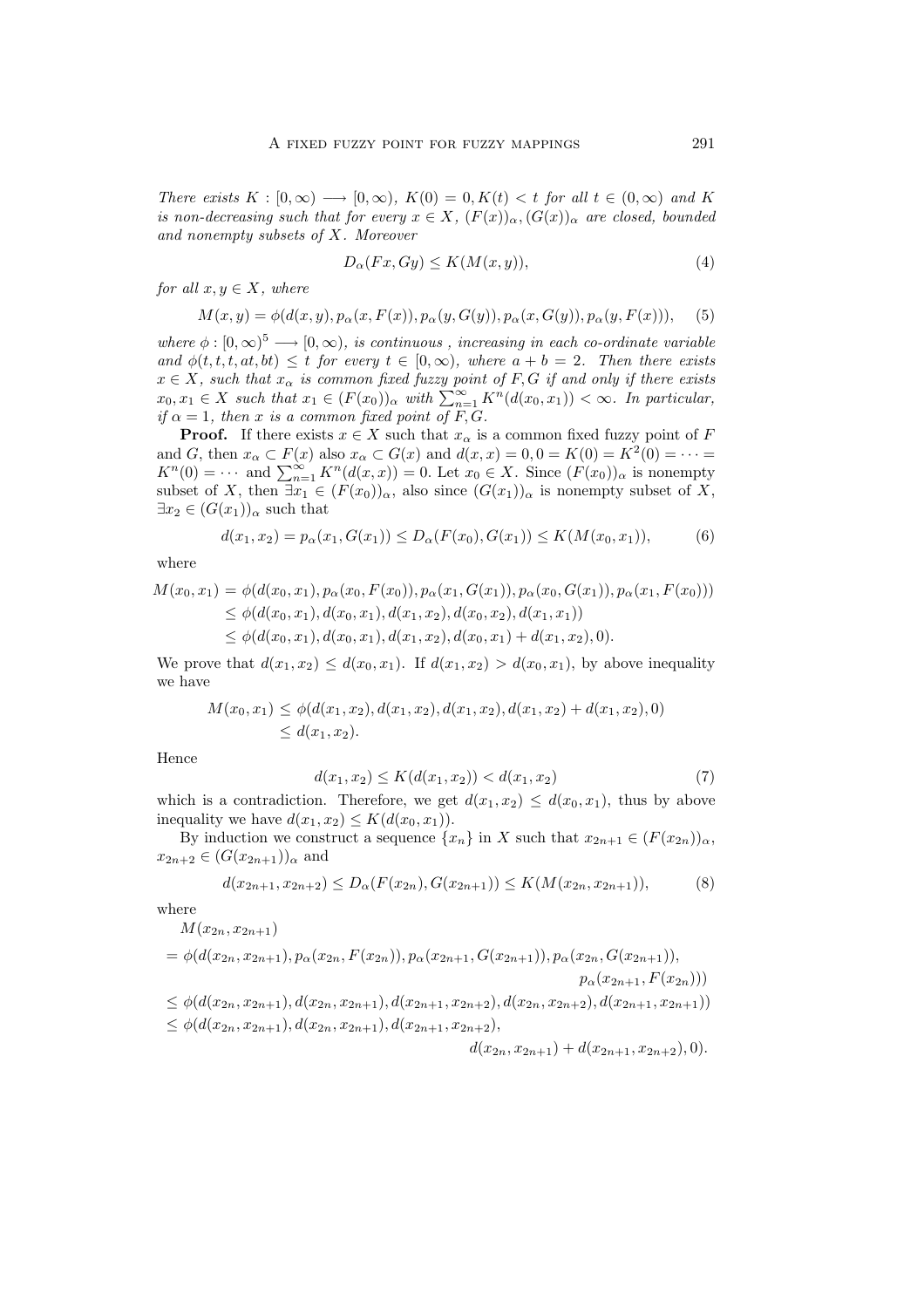*There exists*  $K : [0, \infty) \longrightarrow [0, \infty)$ *,*  $K(0) = 0$ *,*  $K(t) < t$  *for all*  $t \in (0, \infty)$  *and* K *is non-decreasing such that for every*  $x \in X$ ,  $(F(x))_{\alpha}$ ,  $(G(x))_{\alpha}$  *are closed, bounded and nonempty subsets of* X*. Moreover*

$$
D_{\alpha}(Fx, Gy) \le K(M(x, y)),\tag{4}
$$

*for all*  $x, y \in X$ *, where* 

$$
M(x,y) = \phi(d(x,y), p_\alpha(x, F(x)), p_\alpha(y, G(y)), p_\alpha(x, G(y)), p_\alpha(y, F(x))),
$$
 (5)

*where*  $\phi : [0, \infty)^5 \longrightarrow [0, \infty)$ *, is continuous, increasing in each co-ordinate variable and*  $\phi(t, t, t, at, bt) \leq t$  *for every*  $t \in [0, \infty)$ *, where*  $a + b = 2$ *. Then there exists*  $x \in X$ , such that  $x_{\alpha}$  is common fixed fuzzy point of F, G if and only if there exists  $x_0, x_1 \in X$  such that  $x_1 \in (F(x_0))_{\alpha}$  with  $\sum_{n=1}^{\infty} K^n(d(x_0, x_1)) < \infty$ . In particular, *if*  $\alpha = 1$ *, then* x *is a common fixed point of*  $\overline{F}$ ,  $\overline{G}$ *.* 

**Proof.** If there exists  $x \in X$  such that  $x_{\alpha}$  is a common fixed fuzzy point of F and G, then  $x_{\alpha} \subset F(x)$  also  $x_{\alpha} \subset G(x)$  and  $d(x, x) = 0, 0 = K(0) = K^2(0) = \cdots =$  $K^{n}(0) = \cdots$  and  $\sum_{n=1}^{\infty} K^{n}(d(x, x)) = 0$ . Let  $x_0 \in X$ . Since  $(F(x_0))_{\alpha}$  is nonempty subset of X, then  $\exists x_1 \in (F(x_0))_\alpha$ , also since  $(G(x_1))_\alpha$  is nonempty subset of X,  $\exists x_2 \in (G(x_1))_{\alpha}$  such that

$$
d(x_1, x_2) = p_{\alpha}(x_1, G(x_1)) \le D_{\alpha}(F(x_0), G(x_1)) \le K(M(x_0, x_1)),
$$
 (6)

where

$$
M(x_0, x_1) = \phi(d(x_0, x_1), p_\alpha(x_0, F(x_0)), p_\alpha(x_1, G(x_1)), p_\alpha(x_0, G(x_1)), p_\alpha(x_1, F(x_0)))
$$
  
\n
$$
\leq \phi(d(x_0, x_1), d(x_0, x_1), d(x_1, x_2), d(x_0, x_2), d(x_1, x_1))
$$
  
\n
$$
\leq \phi(d(x_0, x_1), d(x_0, x_1), d(x_1, x_2), d(x_0, x_1) + d(x_1, x_2), 0).
$$

We prove that  $d(x_1, x_2) \leq d(x_0, x_1)$ . If  $d(x_1, x_2) > d(x_0, x_1)$ , by above inequality we have

$$
M(x_0, x_1) \le \phi(d(x_1, x_2), d(x_1, x_2), d(x_1, x_2), d(x_1, x_2) + d(x_1, x_2), 0)
$$
  
\$\le d(x\_1, x\_2).

Hence

$$
d(x_1, x_2) \le K(d(x_1, x_2)) < d(x_1, x_2) \tag{7}
$$

which is a contradiction. Therefore, we get  $d(x_1, x_2) \leq d(x_0, x_1)$ , thus by above inequality we have  $d(x_1, x_2) \leq K(d(x_0, x_1)).$ 

By induction we construct a sequence  $\{x_n\}$  in X such that  $x_{2n+1} \in (F(x_{2n}))_\alpha$ ,  $x_{2n+2} \in (G(x_{2n+1}))_{\alpha}$  and

$$
d(x_{2n+1}, x_{2n+2}) \le D_{\alpha}(F(x_{2n}), G(x_{2n+1})) \le K(M(x_{2n}, x_{2n+1})),
$$
 (8)

where

$$
M(x_{2n}, x_{2n+1})
$$
  
=  $\phi(d(x_{2n}, x_{2n+1}), p_{\alpha}(x_{2n}, F(x_{2n})), p_{\alpha}(x_{2n+1}, G(x_{2n+1})), p_{\alpha}(x_{2n}, G(x_{2n+1})),$   
 $p_{\alpha}(x_{2n+1}, F(x_{2n})))$   
 $\leq \phi(d(x_{2n}, x_{2n+1}), d(x_{2n}, x_{2n+1}), d(x_{2n+1}, x_{2n+2}), d(x_{2n}, x_{2n+2}), d(x_{2n+1}, x_{2n+1}))$   
 $\leq \phi(d(x_{2n}, x_{2n+1}), d(x_{2n}, x_{2n+1}), d(x_{2n+1}, x_{2n+2}),$   
 $d(x_{2n}, x_{2n+1}) + d(x_{2n+1}, x_{2n+2}), 0).$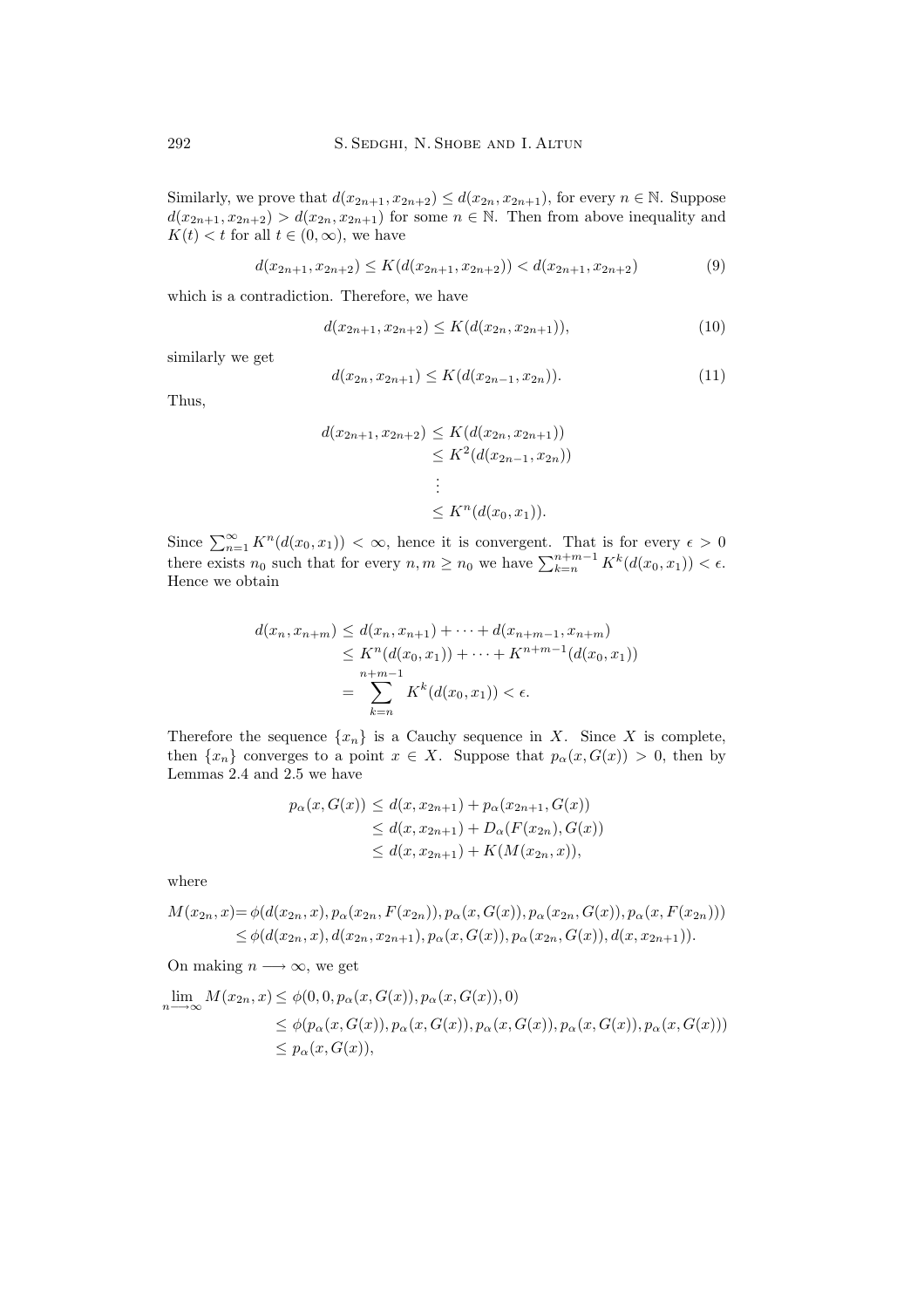Similarly, we prove that  $d(x_{2n+1}, x_{2n+2}) \leq d(x_{2n}, x_{2n+1})$ , for every  $n \in \mathbb{N}$ . Suppose  $d(x_{2n+1}, x_{2n+2}) > d(x_{2n}, x_{2n+1})$  for some  $n \in \mathbb{N}$ . Then from above inequality and  $K(t) < t$  for all  $t \in (0, \infty)$ , we have

$$
d(x_{2n+1}, x_{2n+2}) \le K(d(x_{2n+1}, x_{2n+2})) < d(x_{2n+1}, x_{2n+2})
$$
\n(9)

which is a contradiction. Therefore, we have

$$
d(x_{2n+1}, x_{2n+2}) \le K(d(x_{2n}, x_{2n+1})),\tag{10}
$$

similarly we get

$$
d(x_{2n}, x_{2n+1}) \le K(d(x_{2n-1}, x_{2n})).
$$
\n(11)

Thus,

$$
d(x_{2n+1}, x_{2n+2}) \leq K(d(x_{2n}, x_{2n+1}))
$$
  
\n
$$
\leq K^2(d(x_{2n-1}, x_{2n}))
$$
  
\n
$$
\vdots
$$
  
\n
$$
\leq K^n(d(x_0, x_1)).
$$

Since  $\sum_{n=1}^{\infty} K^n(d(x_0, x_1)) < \infty$ , hence it is convergent. That is for every  $\epsilon > 0$ there exists  $n_0$  such that for every  $n, m \geq n_0$  we have  $\sum_{k=n}^{n+m-1} K^k(d(x_0, x_1)) < \epsilon$ . Hence we obtain

$$
d(x_n, x_{n+m}) \le d(x_n, x_{n+1}) + \dots + d(x_{n+m-1}, x_{n+m})
$$
  
\n
$$
\le K^n(d(x_0, x_1)) + \dots + K^{n+m-1}(d(x_0, x_1))
$$
  
\n
$$
= \sum_{k=n}^{n+m-1} K^k(d(x_0, x_1)) < \epsilon.
$$

Therefore the sequence  $\{x_n\}$  is a Cauchy sequence in X. Since X is complete, then  $\{x_n\}$  converges to a point  $x \in X$ . Suppose that  $p_\alpha(x, G(x)) > 0$ , then by Lemmas 2.4 and 2.5 we have

$$
p_{\alpha}(x, G(x)) \leq d(x, x_{2n+1}) + p_{\alpha}(x_{2n+1}, G(x))
$$
  
\n
$$
\leq d(x, x_{2n+1}) + D_{\alpha}(F(x_{2n}), G(x))
$$
  
\n
$$
\leq d(x, x_{2n+1}) + K(M(x_{2n}, x)),
$$

where

$$
M(x_{2n}, x) = \phi(d(x_{2n}, x), p_{\alpha}(x_{2n}, F(x_{2n})), p_{\alpha}(x, G(x)), p_{\alpha}(x_{2n}, G(x)), p_{\alpha}(x, F(x_{2n})))
$$
  
\n
$$
\leq \phi(d(x_{2n}, x), d(x_{2n}, x_{2n+1}), p_{\alpha}(x, G(x)), p_{\alpha}(x_{2n}, G(x)), d(x, x_{2n+1})).
$$

On making  $n \longrightarrow \infty$ , we get

$$
\lim_{n \to \infty} M(x_{2n}, x) \leq \phi(0, 0, p_{\alpha}(x, G(x)), p_{\alpha}(x, G(x)), 0)
$$
  
\n
$$
\leq \phi(p_{\alpha}(x, G(x)), p_{\alpha}(x, G(x)), p_{\alpha}(x, G(x)), p_{\alpha}(x, G(x)), p_{\alpha}(x, G(x)))
$$
  
\n
$$
\leq p_{\alpha}(x, G(x)),
$$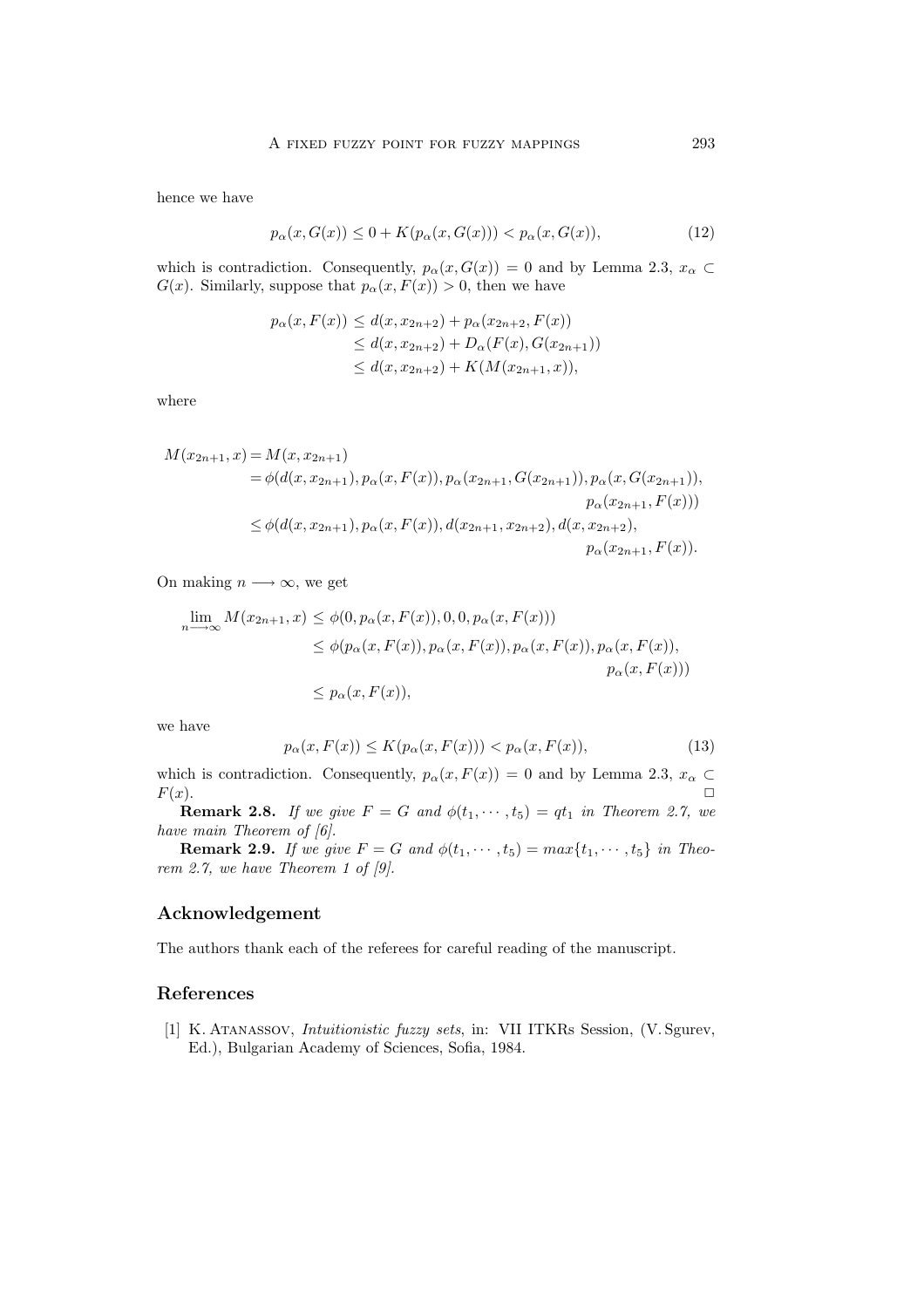hence we have

$$
p_{\alpha}(x, G(x)) \le 0 + K(p_{\alpha}(x, G(x))) < p_{\alpha}(x, G(x)),
$$
\n(12)

which is contradiction. Consequently,  $p_{\alpha}(x, G(x)) = 0$  and by Lemma 2.3,  $x_{\alpha} \subset$  $G(x)$ . Similarly, suppose that  $p_{\alpha}(x, F(x)) > 0$ , then we have

$$
p_{\alpha}(x, F(x)) \leq d(x, x_{2n+2}) + p_{\alpha}(x_{2n+2}, F(x))
$$
  
\n
$$
\leq d(x, x_{2n+2}) + D_{\alpha}(F(x), G(x_{2n+1}))
$$
  
\n
$$
\leq d(x, x_{2n+2}) + K(M(x_{2n+1}, x)),
$$

where

$$
M(x_{2n+1}, x) = M(x, x_{2n+1})
$$
  
=  $\phi(d(x, x_{2n+1}), p_{\alpha}(x, F(x)), p_{\alpha}(x_{2n+1}, G(x_{2n+1})), p_{\alpha}(x, G(x_{2n+1}))),$   
 $p_{\alpha}(x_{2n+1}, F(x)))$   
 $\leq \phi(d(x, x_{2n+1}), p_{\alpha}(x, F(x)), d(x_{2n+1}, x_{2n+2}), d(x, x_{2n+2}),$   
 $p_{\alpha}(x_{2n+1}, F(x)).$ 

On making  $n \longrightarrow \infty$ , we get

$$
\lim_{n \to \infty} M(x_{2n+1}, x) \leq \phi(0, p_{\alpha}(x, F(x)), 0, 0, p_{\alpha}(x, F(x)))
$$
  
\n
$$
\leq \phi(p_{\alpha}(x, F(x)), p_{\alpha}(x, F(x)), p_{\alpha}(x, F(x)), p_{\alpha}(x, F(x)))
$$
  
\n
$$
\leq p_{\alpha}(x, F(x)),
$$
  
\n
$$
p_{\alpha}(x, F(x)))
$$

we have

$$
p_{\alpha}(x, F(x)) \le K(p_{\alpha}(x, F(x))) < p_{\alpha}(x, F(x)), \qquad (13)
$$

which is contradiction. Consequently,  $p_{\alpha}(x, F(x)) = 0$  and by Lemma 2.3,  $x_{\alpha} \subset$  $F(x)$ .

**Remark 2.8.** *If we give*  $F = G$  *and*  $\phi(t_1, \dots, t_5) = qt_1$  *in Theorem 2.7, we have main Theorem of [6].*

**Remark 2.9.** *If we give*  $F = G$  *and*  $\phi(t_1, \dots, t_5) = max\{t_1, \dots, t_5\}$  *in Theorem 2.7, we have Theorem 1 of [9].*

## **Acknowledgement**

The authors thank each of the referees for careful reading of the manuscript.

### **References**

[1] K. Atanassov, *Intuitionistic fuzzy sets*, in: VII ITKRs Session, (V. Sgurev, Ed.), Bulgarian Academy of Sciences, Sofia, 1984.